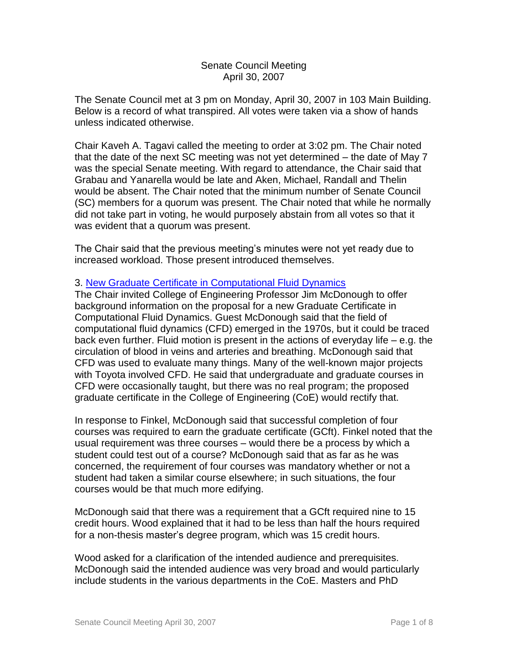### Senate Council Meeting April 30, 2007

The Senate Council met at 3 pm on Monday, April 30, 2007 in 103 Main Building. Below is a record of what transpired. All votes were taken via a show of hands unless indicated otherwise.

Chair Kaveh A. Tagavi called the meeting to order at 3:02 pm. The Chair noted that the date of the next SC meeting was not yet determined – the date of May 7 was the special Senate meeting. With regard to attendance, the Chair said that Grabau and Yanarella would be late and Aken, Michael, Randall and Thelin would be absent. The Chair noted that the minimum number of Senate Council (SC) members for a quorum was present. The Chair noted that while he normally did not take part in voting, he would purposely abstain from all votes so that it was evident that a quorum was present.

The Chair said that the previous meeting's minutes were not yet ready due to increased workload. Those present introduced themselves.

## 3. [New Graduate Certificate in Computational Fluid Dynamics](http://www.uky.edu/USC/New/files/20070430/Computational%20Fluid%20Dynamics%20New%20Grad%20Cert_Complete.pdf)

The Chair invited College of Engineering Professor Jim McDonough to offer background information on the proposal for a new Graduate Certificate in Computational Fluid Dynamics. Guest McDonough said that the field of computational fluid dynamics (CFD) emerged in the 1970s, but it could be traced back even further. Fluid motion is present in the actions of everyday life – e.g. the circulation of blood in veins and arteries and breathing. McDonough said that CFD was used to evaluate many things. Many of the well-known major projects with Toyota involved CFD. He said that undergraduate and graduate courses in CFD were occasionally taught, but there was no real program; the proposed graduate certificate in the College of Engineering (CoE) would rectify that.

In response to Finkel, McDonough said that successful completion of four courses was required to earn the graduate certificate (GCft). Finkel noted that the usual requirement was three courses – would there be a process by which a student could test out of a course? McDonough said that as far as he was concerned, the requirement of four courses was mandatory whether or not a student had taken a similar course elsewhere; in such situations, the four courses would be that much more edifying.

McDonough said that there was a requirement that a GCft required nine to 15 credit hours. Wood explained that it had to be less than half the hours required for a non-thesis master's degree program, which was 15 credit hours.

Wood asked for a clarification of the intended audience and prerequisites. McDonough said the intended audience was very broad and would particularly include students in the various departments in the CoE. Masters and PhD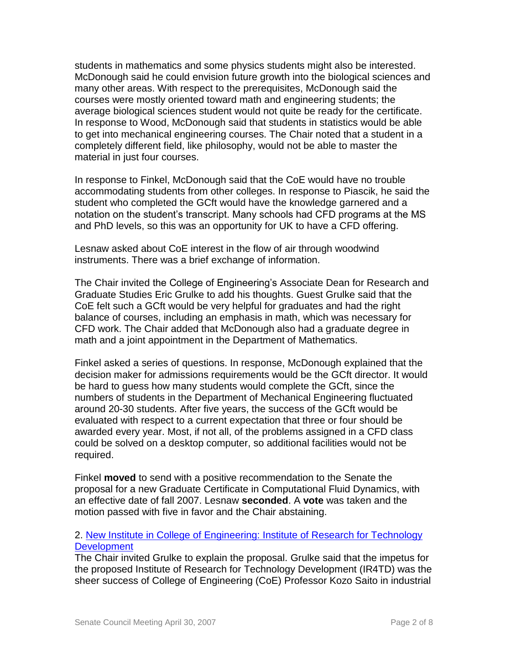students in mathematics and some physics students might also be interested. McDonough said he could envision future growth into the biological sciences and many other areas. With respect to the prerequisites, McDonough said the courses were mostly oriented toward math and engineering students; the average biological sciences student would not quite be ready for the certificate. In response to Wood, McDonough said that students in statistics would be able to get into mechanical engineering courses. The Chair noted that a student in a completely different field, like philosophy, would not be able to master the material in just four courses.

In response to Finkel, McDonough said that the CoE would have no trouble accommodating students from other colleges. In response to Piascik, he said the student who completed the GCft would have the knowledge garnered and a notation on the student's transcript. Many schools had CFD programs at the MS and PhD levels, so this was an opportunity for UK to have a CFD offering.

Lesnaw asked about CoE interest in the flow of air through woodwind instruments. There was a brief exchange of information.

The Chair invited the College of Engineering's Associate Dean for Research and Graduate Studies Eric Grulke to add his thoughts. Guest Grulke said that the CoE felt such a GCft would be very helpful for graduates and had the right balance of courses, including an emphasis in math, which was necessary for CFD work. The Chair added that McDonough also had a graduate degree in math and a joint appointment in the Department of Mathematics.

Finkel asked a series of questions. In response, McDonough explained that the decision maker for admissions requirements would be the GCft director. It would be hard to guess how many students would complete the GCft, since the numbers of students in the Department of Mechanical Engineering fluctuated around 20-30 students. After five years, the success of the GCft would be evaluated with respect to a current expectation that three or four should be awarded every year. Most, if not all, of the problems assigned in a CFD class could be solved on a desktop computer, so additional facilities would not be required.

Finkel **moved** to send with a positive recommendation to the Senate the proposal for a new Graduate Certificate in Computational Fluid Dynamics, with an effective date of fall 2007. Lesnaw **seconded**. A **vote** was taken and the motion passed with five in favor and the Chair abstaining.

## 2. [New Institute in College of Engineering: Institute of Research for Technology](http://www.uky.edu/USC/New/files/20070430/CoE%20IR4TD_Complete.pdf)  **[Development](http://www.uky.edu/USC/New/files/20070430/CoE%20IR4TD_Complete.pdf)**

The Chair invited Grulke to explain the proposal. Grulke said that the impetus for the proposed Institute of Research for Technology Development (IR4TD) was the sheer success of College of Engineering (CoE) Professor Kozo Saito in industrial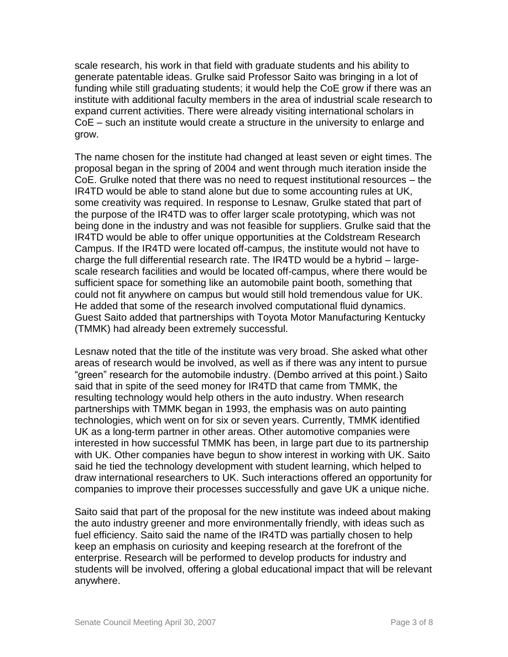scale research, his work in that field with graduate students and his ability to generate patentable ideas. Grulke said Professor Saito was bringing in a lot of funding while still graduating students; it would help the CoE grow if there was an institute with additional faculty members in the area of industrial scale research to expand current activities. There were already visiting international scholars in CoE – such an institute would create a structure in the university to enlarge and grow.

The name chosen for the institute had changed at least seven or eight times. The proposal began in the spring of 2004 and went through much iteration inside the CoE. Grulke noted that there was no need to request institutional resources – the IR4TD would be able to stand alone but due to some accounting rules at UK, some creativity was required. In response to Lesnaw, Grulke stated that part of the purpose of the IR4TD was to offer larger scale prototyping, which was not being done in the industry and was not feasible for suppliers. Grulke said that the IR4TD would be able to offer unique opportunities at the Coldstream Research Campus. If the IR4TD were located off-campus, the institute would not have to charge the full differential research rate. The IR4TD would be a hybrid – largescale research facilities and would be located off-campus, where there would be sufficient space for something like an automobile paint booth, something that could not fit anywhere on campus but would still hold tremendous value for UK. He added that some of the research involved computational fluid dynamics. Guest Saito added that partnerships with Toyota Motor Manufacturing Kentucky (TMMK) had already been extremely successful.

Lesnaw noted that the title of the institute was very broad. She asked what other areas of research would be involved, as well as if there was any intent to pursue "green" research for the automobile industry. (Dembo arrived at this point.) Saito said that in spite of the seed money for IR4TD that came from TMMK, the resulting technology would help others in the auto industry. When research partnerships with TMMK began in 1993, the emphasis was on auto painting technologies, which went on for six or seven years. Currently, TMMK identified UK as a long-term partner in other areas. Other automotive companies were interested in how successful TMMK has been, in large part due to its partnership with UK. Other companies have begun to show interest in working with UK. Saito said he tied the technology development with student learning, which helped to draw international researchers to UK. Such interactions offered an opportunity for companies to improve their processes successfully and gave UK a unique niche.

Saito said that part of the proposal for the new institute was indeed about making the auto industry greener and more environmentally friendly, with ideas such as fuel efficiency. Saito said the name of the IR4TD was partially chosen to help keep an emphasis on curiosity and keeping research at the forefront of the enterprise. Research will be performed to develop products for industry and students will be involved, offering a global educational impact that will be relevant anywhere.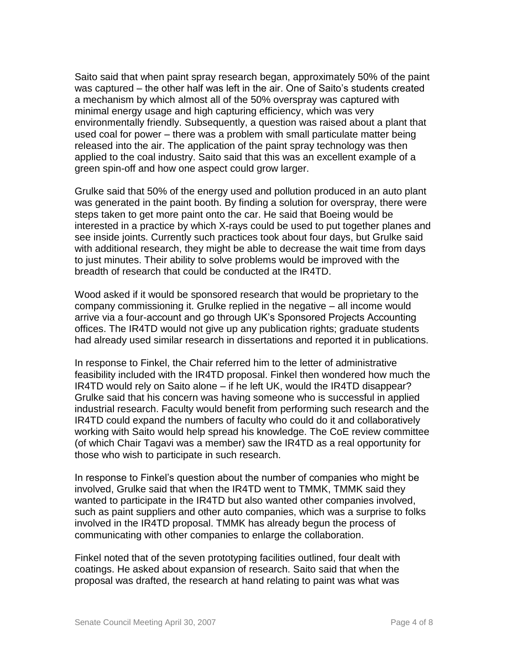Saito said that when paint spray research began, approximately 50% of the paint was captured – the other half was left in the air. One of Saito's students created a mechanism by which almost all of the 50% overspray was captured with minimal energy usage and high capturing efficiency, which was very environmentally friendly. Subsequently, a question was raised about a plant that used coal for power – there was a problem with small particulate matter being released into the air. The application of the paint spray technology was then applied to the coal industry. Saito said that this was an excellent example of a green spin-off and how one aspect could grow larger.

Grulke said that 50% of the energy used and pollution produced in an auto plant was generated in the paint booth. By finding a solution for overspray, there were steps taken to get more paint onto the car. He said that Boeing would be interested in a practice by which X-rays could be used to put together planes and see inside joints. Currently such practices took about four days, but Grulke said with additional research, they might be able to decrease the wait time from days to just minutes. Their ability to solve problems would be improved with the breadth of research that could be conducted at the IR4TD.

Wood asked if it would be sponsored research that would be proprietary to the company commissioning it. Grulke replied in the negative – all income would arrive via a four-account and go through UK's Sponsored Projects Accounting offices. The IR4TD would not give up any publication rights; graduate students had already used similar research in dissertations and reported it in publications.

In response to Finkel, the Chair referred him to the letter of administrative feasibility included with the IR4TD proposal. Finkel then wondered how much the IR4TD would rely on Saito alone – if he left UK, would the IR4TD disappear? Grulke said that his concern was having someone who is successful in applied industrial research. Faculty would benefit from performing such research and the IR4TD could expand the numbers of faculty who could do it and collaboratively working with Saito would help spread his knowledge. The CoE review committee (of which Chair Tagavi was a member) saw the IR4TD as a real opportunity for those who wish to participate in such research.

In response to Finkel's question about the number of companies who might be involved, Grulke said that when the IR4TD went to TMMK, TMMK said they wanted to participate in the IR4TD but also wanted other companies involved, such as paint suppliers and other auto companies, which was a surprise to folks involved in the IR4TD proposal. TMMK has already begun the process of communicating with other companies to enlarge the collaboration.

Finkel noted that of the seven prototyping facilities outlined, four dealt with coatings. He asked about expansion of research. Saito said that when the proposal was drafted, the research at hand relating to paint was what was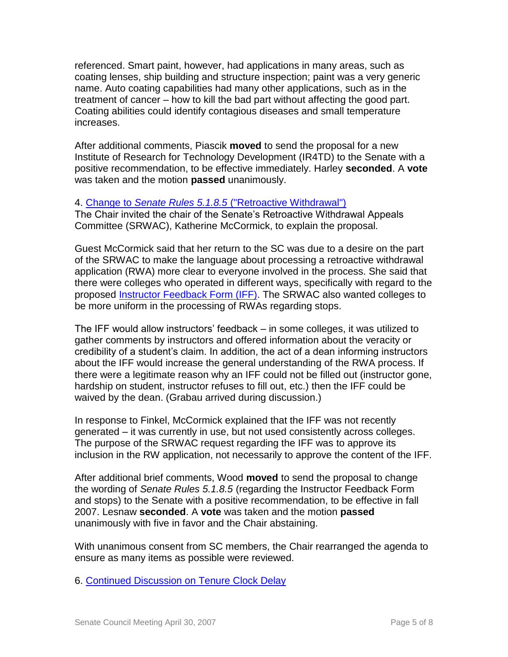referenced. Smart paint, however, had applications in many areas, such as coating lenses, ship building and structure inspection; paint was a very generic name. Auto coating capabilities had many other applications, such as in the treatment of cancer – how to kill the bad part without affecting the good part. Coating abilities could identify contagious diseases and small temperature increases.

After additional comments, Piascik **moved** to send the proposal for a new Institute of Research for Technology Development (IR4TD) to the Senate with a positive recommendation, to be effective immediately. Harley **seconded**. A **vote** was taken and the motion **passed** unanimously.

### 4. Change to *Senate Rules 5.1.8.5* [\("Retroactive Withdrawal"\)](http://www.uky.edu/USC/New/files/20070430/IFF%20&%20Holds%20Changes.pdf)

The Chair invited the chair of the Senate's Retroactive Withdrawal Appeals Committee (SRWAC), Katherine McCormick, to explain the proposal.

Guest McCormick said that her return to the SC was due to a desire on the part of the SRWAC to make the language about processing a retroactive withdrawal application (RWA) more clear to everyone involved in the process. She said that there were colleges who operated in different ways, specifically with regard to the proposed [Instructor Feedback Form \(IFF\).](http://www.uky.edu/USC/New/files/20070430/Instructor%20Feedback%20Form.pdf) The SRWAC also wanted colleges to be more uniform in the processing of RWAs regarding stops.

The IFF would allow instructors' feedback – in some colleges, it was utilized to gather comments by instructors and offered information about the veracity or credibility of a student's claim. In addition, the act of a dean informing instructors about the IFF would increase the general understanding of the RWA process. If there were a legitimate reason why an IFF could not be filled out (instructor gone, hardship on student, instructor refuses to fill out, etc.) then the IFF could be waived by the dean. (Grabau arrived during discussion.)

In response to Finkel, McCormick explained that the IFF was not recently generated – it was currently in use, but not used consistently across colleges. The purpose of the SRWAC request regarding the IFF was to approve its inclusion in the RW application, not necessarily to approve the content of the IFF.

After additional brief comments, Wood **moved** to send the proposal to change the wording of *Senate Rules 5.1.8.5* (regarding the Instructor Feedback Form and stops) to the Senate with a positive recommendation, to be effective in fall 2007. Lesnaw **seconded**. A **vote** was taken and the motion **passed** unanimously with five in favor and the Chair abstaining.

With unanimous consent from SC members, the Chair rearranged the agenda to ensure as many items as possible were reviewed.

6. [Continued Discussion on Tenure Clock Delay](http://www.uky.edu/USC/New/files/20070430/Background-%20Stopping%20the%20Tenure%20Clock%20Revised%20042707.pdf)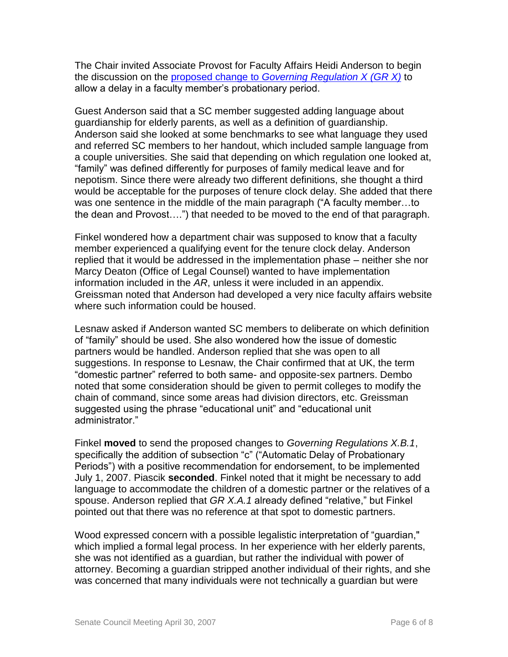The Chair invited Associate Provost for Faculty Affairs Heidi Anderson to begin the discussion on the proposed change to *[Governing Regulation X \(GR X\)](http://www.uky.edu/USC/New/files/20070430/GR%20-%20Part%20X%20Delay%20of%20Probationary%20Period%20-%20Highlighted%20Section%20042707.pdf)* to allow a delay in a faculty member's probationary period.

Guest Anderson said that a SC member suggested adding language about guardianship for elderly parents, as well as a definition of guardianship. Anderson said she looked at some benchmarks to see what language they used and referred SC members to her handout, which included sample language from a couple universities. She said that depending on which regulation one looked at, "family" was defined differently for purposes of family medical leave and for nepotism. Since there were already two different definitions, she thought a third would be acceptable for the purposes of tenure clock delay. She added that there was one sentence in the middle of the main paragraph ("A faculty member…to the dean and Provost….") that needed to be moved to the end of that paragraph.

Finkel wondered how a department chair was supposed to know that a faculty member experienced a qualifying event for the tenure clock delay. Anderson replied that it would be addressed in the implementation phase – neither she nor Marcy Deaton (Office of Legal Counsel) wanted to have implementation information included in the *AR*, unless it were included in an appendix. Greissman noted that Anderson had developed a very nice faculty affairs website where such information could be housed.

Lesnaw asked if Anderson wanted SC members to deliberate on which definition of "family" should be used. She also wondered how the issue of domestic partners would be handled. Anderson replied that she was open to all suggestions. In response to Lesnaw, the Chair confirmed that at UK, the term "domestic partner" referred to both same- and opposite-sex partners. Dembo noted that some consideration should be given to permit colleges to modify the chain of command, since some areas had division directors, etc. Greissman suggested using the phrase "educational unit" and "educational unit administrator."

Finkel **moved** to send the proposed changes to *Governing Regulations X.B.1*, specifically the addition of subsection "c" ("Automatic Delay of Probationary Periods") with a positive recommendation for endorsement, to be implemented July 1, 2007. Piascik **seconded**. Finkel noted that it might be necessary to add language to accommodate the children of a domestic partner or the relatives of a spouse. Anderson replied that *GR X.A.1* already defined "relative," but Finkel pointed out that there was no reference at that spot to domestic partners.

Wood expressed concern with a possible legalistic interpretation of "guardian," which implied a formal legal process. In her experience with her elderly parents, she was not identified as a guardian, but rather the individual with power of attorney. Becoming a guardian stripped another individual of their rights, and she was concerned that many individuals were not technically a guardian but were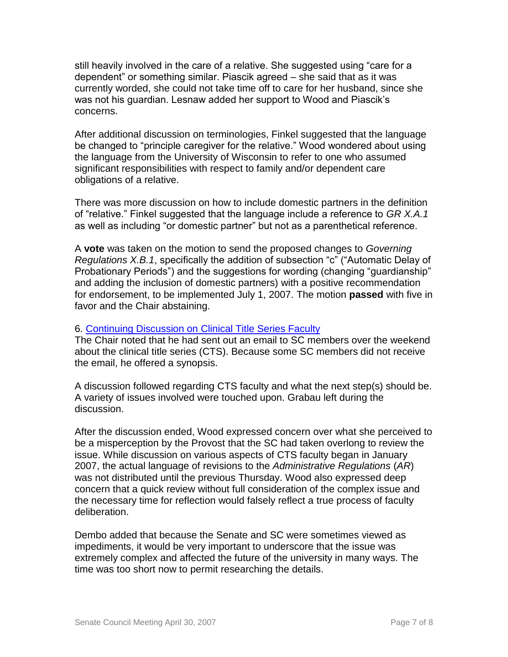still heavily involved in the care of a relative. She suggested using "care for a dependent" or something similar. Piascik agreed – she said that as it was currently worded, she could not take time off to care for her husband, since she was not his guardian. Lesnaw added her support to Wood and Piascik's concerns.

After additional discussion on terminologies, Finkel suggested that the language be changed to "principle caregiver for the relative." Wood wondered about using the language from the University of Wisconsin to refer to one who assumed significant responsibilities with respect to family and/or dependent care obligations of a relative.

There was more discussion on how to include domestic partners in the definition of "relative." Finkel suggested that the language include a reference to *GR X.A.1* as well as including "or domestic partner" but not as a parenthetical reference.

A **vote** was taken on the motion to send the proposed changes to *Governing Regulations X.B.1*, specifically the addition of subsection "c" ("Automatic Delay of Probationary Periods") and the suggestions for wording (changing "guardianship" and adding the inclusion of domestic partners) with a positive recommendation for endorsement, to be implemented July 1, 2007. The motion **passed** with five in favor and the Chair abstaining.

#### 6. [Continuing Discussion on Clinical Title Series Faculty](http://www.uky.edu/USC/New/files/20070430/AR%20II-1%200-1%20-%20Page%20IX%20-%20Appt%20and%20Prom%20Clinical%20Title%20(DRAFT)%20Revised%20042607%20(2)_KAT%20V3%20(2)%204-30-07.pdf)

The Chair noted that he had sent out an email to SC members over the weekend about the clinical title series (CTS). Because some SC members did not receive the email, he offered a synopsis.

A discussion followed regarding CTS faculty and what the next step(s) should be. A variety of issues involved were touched upon. Grabau left during the discussion.

After the discussion ended, Wood expressed concern over what she perceived to be a misperception by the Provost that the SC had taken overlong to review the issue. While discussion on various aspects of CTS faculty began in January 2007, the actual language of revisions to the *Administrative Regulations* (*AR*) was not distributed until the previous Thursday. Wood also expressed deep concern that a quick review without full consideration of the complex issue and the necessary time for reflection would falsely reflect a true process of faculty deliberation.

Dembo added that because the Senate and SC were sometimes viewed as impediments, it would be very important to underscore that the issue was extremely complex and affected the future of the university in many ways. The time was too short now to permit researching the details.